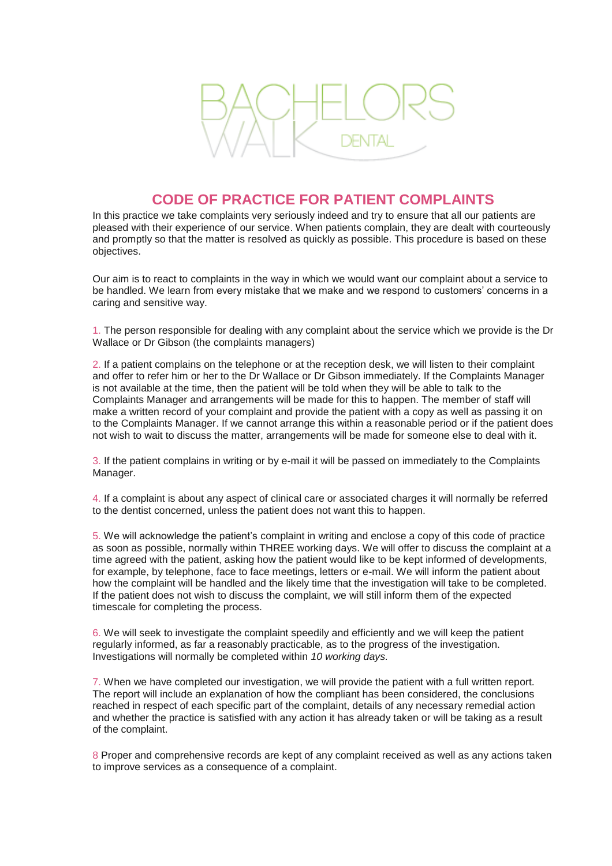

## **CODE OF PRACTICE FOR PATIENT COMPLAINTS**

In this practice we take complaints very seriously indeed and try to ensure that all our patients are pleased with their experience of our service. When patients complain, they are dealt with courteously and promptly so that the matter is resolved as quickly as possible. This procedure is based on these objectives.

Our aim is to react to complaints in the way in which we would want our complaint about a service to be handled. We learn from every mistake that we make and we respond to customers' concerns in a caring and sensitive way.

1. The person responsible for dealing with any complaint about the service which we provide is the Dr Wallace or Dr Gibson (the complaints managers)

2. If a patient complains on the telephone or at the reception desk, we will listen to their complaint and offer to refer him or her to the Dr Wallace or Dr Gibson immediately. If the Complaints Manager is not available at the time, then the patient will be told when they will be able to talk to the Complaints Manager and arrangements will be made for this to happen. The member of staff will make a written record of your complaint and provide the patient with a copy as well as passing it on to the Complaints Manager. If we cannot arrange this within a reasonable period or if the patient does not wish to wait to discuss the matter, arrangements will be made for someone else to deal with it.

3. If the patient complains in writing or by e-mail it will be passed on immediately to the Complaints Manager.

4. If a complaint is about any aspect of clinical care or associated charges it will normally be referred to the dentist concerned, unless the patient does not want this to happen.

5. We will acknowledge the patient's complaint in writing and enclose a copy of this code of practice as soon as possible, normally within THREE working days. We will offer to discuss the complaint at a time agreed with the patient, asking how the patient would like to be kept informed of developments, for example, by telephone, face to face meetings, letters or e-mail. We will inform the patient about how the complaint will be handled and the likely time that the investigation will take to be completed. If the patient does not wish to discuss the complaint, we will still inform them of the expected timescale for completing the process.

6. We will seek to investigate the complaint speedily and efficiently and we will keep the patient regularly informed, as far a reasonably practicable, as to the progress of the investigation. Investigations will normally be completed within *10 working days.*

7. When we have completed our investigation, we will provide the patient with a full written report. The report will include an explanation of how the compliant has been considered, the conclusions reached in respect of each specific part of the complaint, details of any necessary remedial action and whether the practice is satisfied with any action it has already taken or will be taking as a result of the complaint.

8 Proper and comprehensive records are kept of any complaint received as well as any actions taken to improve services as a consequence of a complaint.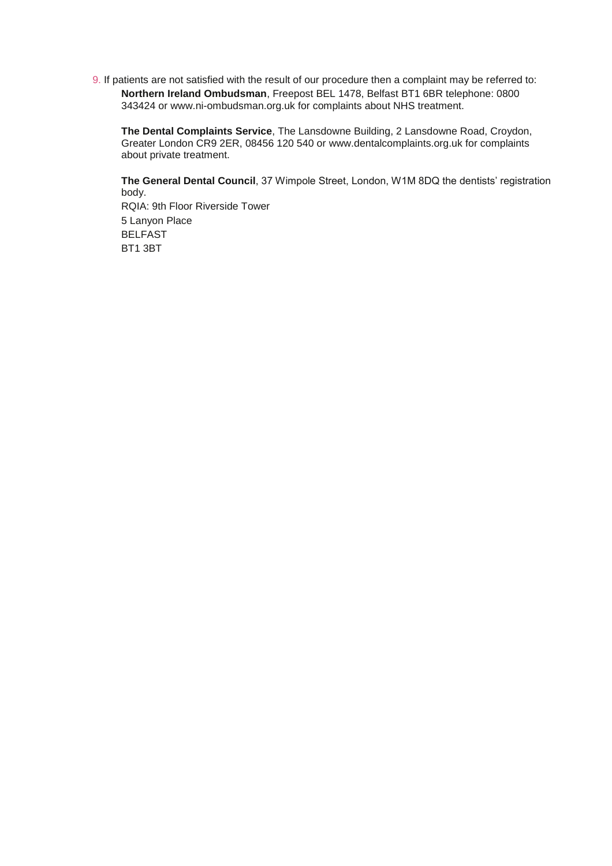9. If patients are not satisfied with the result of our procedure then a complaint may be referred to: **Northern Ireland Ombudsman**, Freepost BEL 1478, Belfast BT1 6BR telephone: 0800 343424 or www.ni-ombudsman.org.uk for complaints about NHS treatment.

**The Dental Complaints Service**, The Lansdowne Building, 2 Lansdowne Road, Croydon, Greater London CR9 2ER, 08456 120 540 or www.dentalcomplaints.org.uk for complaints about private treatment.

**The General Dental Council**, 37 Wimpole Street, London, W1M 8DQ the dentists' registration body.

RQIA: 9th Floor Riverside Tower 5 Lanyon Place BELFAST BT1 3BT